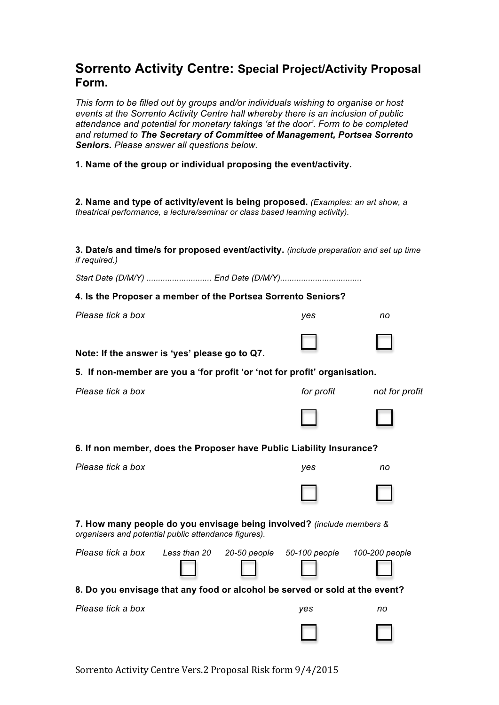## **Sorrento Activity Centre: Special Project/Activity Proposal Form.**

*This form to be filled out by groups and/or individuals wishing to organise or host events at the Sorrento Activity Centre hall whereby there is an inclusion of public attendance and potential for monetary takings 'at the door'. Form to be completed and returned to The Secretary of Committee of Management, Portsea Sorrento Seniors. Please answer all questions below.*

**1. Name of the group or individual proposing the event/activity.**

**2. Name and type of activity/event is being proposed.** *(Examples: an art show, a theatrical performance, a lecture/seminar or class based learning activity).*

**3. Date/s and time/s for proposed event/activity.** *(include preparation and set up time if required.)*

*Start Date (D/M/Y) ............................ End Date (D/M/Y)...................................*

## **4. Is the Proposer a member of the Portsea Sorrento Seniors?**

| 4. Is the Proposer a member of the Portsea Sorrento Seniors?                                                                  |              |  |                                           |                |  |
|-------------------------------------------------------------------------------------------------------------------------------|--------------|--|-------------------------------------------|----------------|--|
| Please tick a box                                                                                                             |              |  | yes                                       | no             |  |
| Note: If the answer is 'yes' please go to Q7.                                                                                 |              |  |                                           |                |  |
| 5. If non-member are you a 'for profit 'or 'not for profit' organisation.                                                     |              |  |                                           |                |  |
| Please tick a box                                                                                                             |              |  | for profit                                | not for profit |  |
|                                                                                                                               |              |  |                                           |                |  |
| 6. If non member, does the Proposer have Public Liability Insurance?                                                          |              |  |                                           |                |  |
| Please tick a box                                                                                                             |              |  | yes                                       | no             |  |
|                                                                                                                               |              |  |                                           |                |  |
| 7. How many people do you envisage being involved? (include members &<br>organisers and potential public attendance figures). |              |  |                                           |                |  |
| Please tick a box                                                                                                             | Less than 20 |  | 20-50 people 50-100 people 100-200 people |                |  |
| 8. Do you envisage that any food or alcohol be served or sold at the event?                                                   |              |  |                                           |                |  |
| Please tick a box                                                                                                             |              |  | yes                                       | no             |  |

Sorrento Activity Centre Vers.2 Proposal Risk form  $9/4/2015$